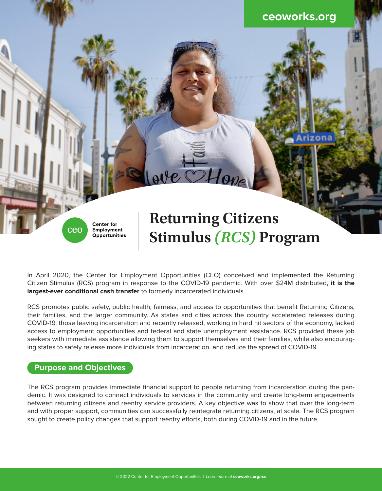### **ceoworks.org**



# **Returning Citizens Stimulus** *(RCS)* **Program**

In April 2020, the Center for Employment Opportunities (CEO) conceived and implemented the Returning Citizen Stimulus (RCS) program in response to the COVID-19 pandemic. With over \$24M distributed, **it is the largest-ever conditional cash transfer** to formerly incarcerated individuals.

ve Hove

RCS promotes public safety, public health, fairness, and access to opportunities that benefit Returning Citizens, their families, and the larger community. As states and cities across the country accelerated releases during COVID-19, those leaving incarceration and recently released, working in hard hit sectors of the economy, lacked access to employment opportunities and federal and state unemployment assistance. RCS provided these job seekers with immediate assistance allowing them to support themselves and their families, while also encouraging states to safely release more individuals from incarceration and reduce the spread of COVID-19.

#### **Purpose and Objectives**

The RCS program provides immediate financial support to people returning from incarceration during the pandemic. It was designed to connect individuals to services in the community and create long-term engagements between returning citizens and reentry service providers. A key objective was to show that over the long-term and with proper support, communities can successfully reintegrate returning citizens, at scale. The RCS program sought to create policy changes that support reentry efforts, both during COVID-19 and in the future.